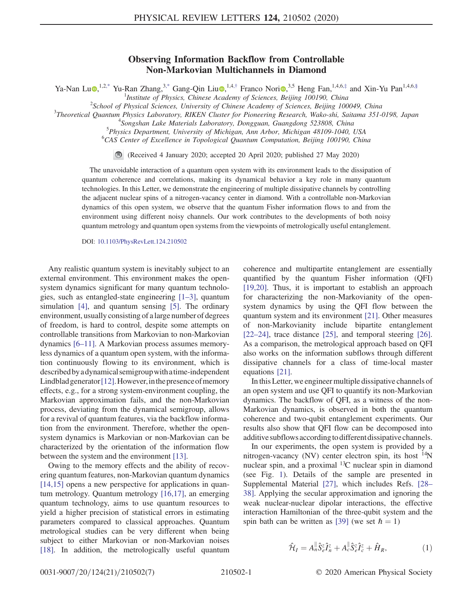## Observing Information Backflow from Controllable Non-Markovian Multichannels in Diamond

<span id="page-0-0"></span>Ya-Nan Lu $\Phi$ ,<sup>1,[2,\\*](#page-4-0)</sup> Yu-Ran Zhang,<sup>3[,\\*](#page-4-0)</sup> Gang-Qin Liu $\Phi$ ,<sup>1,4,[†](#page-4-1)</sup> Franco Nori $\Phi$ ,<sup>3,5</sup> Heng Fan,<sup>1,4,6,[‡](#page-4-2)</sup> and Xin-Yu Pan<sup>1,4,6[,§](#page-4-3)</sup>

<sup>1</sup>Institute of Physics, Chinese Academy of Sciences, Beijing 100190, China<sup>2</sup>School of Physical Sciences, Luissenius of Chinase Academy of Sciences, Peijing 100

 $2$ School of Physical Sciences, University of Chinese Academy of Sciences, Beijing 100049, China

 $3$ Theoretical Quantum Physics Laboratory, RIKEN Cluster for Pioneering Research, Wako-shi, Saitama 351-0198, Japan

<sup>4</sup>Songshan Lake Materials Laboratory, Dongguan, Guangdong 523808, China

<sup>5</sup>Physics Department, University of Michigan, Ann Arbor, Michigan 48109-1040, USA

<sup>6</sup>CAS Center of Excellence in Topological Quantum Computation, Beijing 100190, China

 $\bigcirc$ (Received 4 January 2020; accepted 20 April 2020; published 27 May 2020)

The unavoidable interaction of a quantum open system with its environment leads to the dissipation of quantum coherence and correlations, making its dynamical behavior a key role in many quantum technologies. In this Letter, we demonstrate the engineering of multiple dissipative channels by controlling the adjacent nuclear spins of a nitrogen-vacancy center in diamond. With a controllable non-Markovian dynamics of this open system, we observe that the quantum Fisher information flows to and from the environment using different noisy channels. Our work contributes to the developments of both noisy quantum metrology and quantum open systems from the viewpoints of metrologically useful entanglement.

DOI: [10.1103/PhysRevLett.124.210502](https://doi.org/10.1103/PhysRevLett.124.210502)

Any realistic quantum system is inevitably subject to an external environment. This environment makes the opensystem dynamics significant for many quantum technologies, such as entangled-state engineering [1–[3\],](#page-4-4) quantum simulation [\[4\]](#page-4-5), and quantum sensing [\[5\]](#page-4-6). The ordinary environment, usually consisting of a large number of degrees of freedom, is hard to control, despite some attempts on controllable transitions from Markovian to non-Markovian dynamics [6–[11\].](#page-4-7) A Markovian process assumes memoryless dynamics of a quantum open system, with the information continuously flowing to its environment, which is describedbya dynamicalsemigroupwithatime-independent Lindblad generator  $[12]$ . However, in the presence of memory effects, e.g., for a strong system-environment coupling, the Markovian approximation fails, and the non-Markovian process, deviating from the dynamical semigroup, allows for a revival of quantum features, via the backflow information from the environment. Therefore, whether the opensystem dynamics is Markovian or non-Markovian can be characterized by the orientation of the information flow between the system and the environment [\[13\]](#page-5-1).

Owing to the memory effects and the ability of recovering quantum features, non-Markovian quantum dynamics [\[14,15\]](#page-5-2) opens a new perspective for applications in quantum metrology. Quantum metrology [\[16,17\],](#page-5-3) an emerging quantum technology, aims to use quantum resources to yield a higher precision of statistical errors in estimating parameters compared to classical approaches. Quantum metrological studies can be very different when being subject to either Markovian or non-Markovian noises [\[18\]](#page-5-4). In addition, the metrologically useful quantum coherence and multipartite entanglement are essentially quantified by the quantum Fisher information (QFI) [\[19,20\]](#page-5-5). Thus, it is important to establish an approach for characterizing the non-Markovianity of the opensystem dynamics by using the QFI flow between the quantum system and its environment [\[21\]](#page-5-6). Other measures of non-Markovianity include bipartite entanglement [\[22](#page-5-7)–24], trace distance [\[25\]](#page-5-8), and temporal steering [\[26\]](#page-5-9). As a comparison, the metrological approach based on QFI also works on the information subflows through different dissipative channels for a class of time-local master equations [\[21\].](#page-5-6)

In this Letter, we engineer multiple dissipative channels of an open system and use QFI to quantify its non-Markovian dynamics. The backflow of QFI, as a witness of the non-Markovian dynamics, is observed in both the quantum coherence and two-qubit entanglement experiments. Our results also show that QFI flow can be decomposed into additive subflows accordingto different dissipative channels.

In our experiments, the open system is provided by a nitrogen-vacancy (NV) center electron spin, its host <sup>14</sup>N nuclear spin, and a proximal  ${}^{13}C$  nuclear spin in diamond (see Fig. [1\)](#page-1-0). Details of the sample are presented in Supplemental Material [\[27\]](#page-5-10), which includes Refs. [\[28](#page-5-11)– [38\].](#page-5-11) Applying the secular approximation and ignoring the weak nuclear-nuclear dipolar interactions, the effective interaction Hamiltonian of the three-qubit system and the spin bath can be written as [\[39\]](#page-5-12) (we set  $\hbar = 1$ )

$$
\hat{\mathcal{H}}_I = A_n^{\parallel} \hat{S}_e^z \hat{I}_n^z + A_c^{\parallel} \hat{S}_e^z \hat{I}_c^z + \hat{H}_R, \tag{1}
$$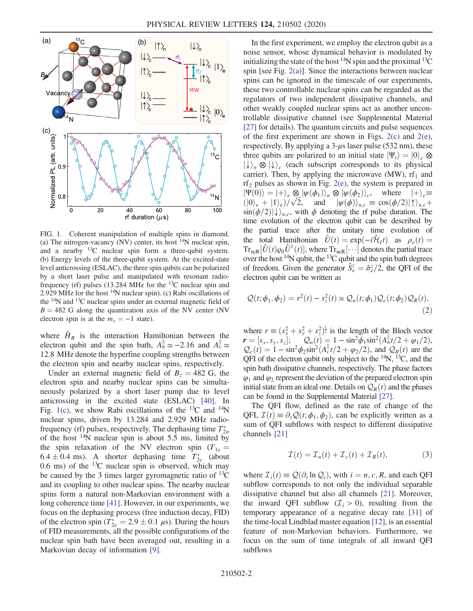<span id="page-1-0"></span>

FIG. 1. Coherent manipulation of multiple spins in diamond. (a) The nitrogen-vacancy (NV) center, its host  $^{14}N$  nuclear spin, and a nearby  $^{13}$ C nuclear spin form a three-qubit system. (b) Energy levels of the three-qubit system. At the excited-state level anticrossing (ESLAC), the three spin qubits can be polarized by a short laser pulse and manipulated with resonant radiofrequency (rf) pulses (13.284 MHz for the  $^{13}$ C nuclear spin and 2.929 MHz for the host  $^{14}N$  nuclear spin). (c) Rabi oscillations of the <sup>14</sup>N and <sup>13</sup>C nuclear spins under an external magnetic field of  $B = 482$  G along the quantization axis of the NV center (NV electron spin is at the  $m<sub>s</sub> = -1$  state).

where  $\hat{H}_R$  is the interaction Hamiltonian between the electron qubit and the spin bath,  $A_n^{\parallel} \approx -2.16$  and  $A_c^{\parallel} \approx$ 12.8 MHz denote the hyperfine coupling strengths between the electron spin and nearby nuclear spins, respectively.

Under an external magnetic field of  $B_z = 482$  G, the electron spin and nearby nuclear spins can be simultaneously polarized by a short laser pump due to level anticrossing in the excited state (ESLAC) [\[40\].](#page-5-13) In Fig. [1\(c\),](#page-1-0) we show Rabi oscillations of the <sup>13</sup>C and <sup>14</sup>N nuclear spins, driven by 13.284 and 2.929 MHz radiofrequency (rf) pulses, respectively. The dephasing time  $T_{2n}^*$ of the host  $14N$  nuclear spin is about 5.5 ms, limited by the spin relaxation of the NV electron spin  $(T_{1e} =$  $6.4 \pm 0.4$  ms). A shorter dephasing time  $T_{2c}^{*}$  (about 0.6 ms) of the  $^{13}$ C nuclear spin is observed, which may be caused by the 3 times larger gyromagnetic ratio of  $^{13}$ C and its coupling to other nuclear spins. The nearby nuclear spins form a natural non-Markovian environment with a long coherence time [\[41\]](#page-5-14). However, in our experiments, we focus on the dephasing process (free induction decay, FID) of the electron spin  $(T_{2e}^* = 2.9 \pm 0.1 \,\mu s)$ . During the hours of FID measurements, all the possible configurations of the nuclear spin bath have been averaged out, resulting in a Markovian decay of information [\[9\].](#page-4-8)

In the first experiment, we employ the electron qubit as a noise sensor, whose dynamical behavior is modulated by initializing the state of the host  $^{14}N$  spin and the proximal  $^{13}C$ spin [see Fig. [2\(a\)\]](#page-2-0). Since the interactions between nuclear spins can be ignored in the timescale of our experiments, these two controllable nuclear spins can be regarded as the regulators of two independent dissipative channels, and other weakly coupled nuclear spins act as another uncontrollable dissipative channel (see Supplemental Material [\[27\]](#page-5-10) for details). The quantum circuits and pulse sequences of the first experiment are shown in Figs.  $2(c)$  and  $2(e)$ , respectively. By applying a  $3-\mu s$  laser pulse (532 nm), these three qubits are polarized to an initial state  $|\Psi_i\rangle = |0\rangle_e \otimes$  $|\downarrow\rangle_n \otimes |\downarrow\rangle_c$  (each subscript corresponds to its physical carrier). Then, by applying the microwave (MW),  $\text{rf}_1$  and  $\text{rf}_2$  pulses as shown in Fig. [2\(e\),](#page-2-0) the system is prepared in  $|\Psi(0)\rangle = |+\rangle_e \otimes |\psi(\phi_1)\rangle_n \otimes |\psi(\phi_2)\rangle_c$ , where  $|+\rangle_e \equiv$  $\langle 0 \rangle_e + |1 \rangle_e$ )/ $\sqrt{2}$ , and  $|\psi(\phi) \rangle_{n,c} \equiv \cos(\phi/2)|\uparrow \rangle_{n,c} +$  $\sin(\phi/2)|\downarrow\rangle_{n,c}$ , with  $\phi$  denoting the rf pulse duration. The time evolution of the electron qubit can be described by the partial trace after the unitary time evolution of the total Hamiltonian  $\hat{U}(t) = \exp(-i\hat{\mathcal{H}}_I t)$  as  $\rho_e(t) =$  $Tr_{\text{ncR}}[\hat{U}(t)\varrho_0\hat{U}^\dagger(t)]$ , where  $Tr_{\text{ncR}}[\cdots]$  denotes the partial trace over the host  $14N$  qubit, the  $13C$  qubit and the spin bath degrees of freedom. Given the generator  $\hat{S}_e^z = \hat{\sigma}_e^z/2$ , the QFI of the electron qubit can be written as

$$
\mathcal{Q}(t; \phi_1, \phi_2) = r^2(t) - s_z^2(t) \simeq \mathcal{Q}_n(t; \phi_1) \mathcal{Q}_c(t; \phi_2) \mathcal{Q}_R(t),
$$
\n(2)

where  $r \equiv (s_x^2 + s_y^2 + s_z^2)^{\frac{1}{2}}$  is the length of the Bloch vector  $\mathbf{r} = [s_x, s_y, s_z]; \quad Q_n(t) = 1 - \sin^2 \phi_1 \sin^2(A_n t/2 + \phi_1/2),$  $Q_c(t) = 1 - \sin^2{\phi_2 \sin^2(A_c^{\parallel} t/2 + \phi_2/2)}$ , and  $Q_R(t)$  are the QFI of the electron qubit only subject to the  $^{14}N$ ,  $^{13}C$ , and the spin bath dissipative channels, respectively. The phase factors  $\varphi_1$  and  $\varphi_2$  represent the deviation of the prepared electron spin initial state from an ideal one. Details on  $\mathcal{Q}_R(t)$  and the phases can be found in the Supplemental Material [\[27\]](#page-5-10).

The QFI flow, defined as the rate of change of the QFI,  $\mathcal{I}(t) \equiv \partial_t \mathcal{Q}(t; \phi_1, \phi_2)$ , can be explicitly written as a sum of QFI subflows with respect to different dissipative channels [\[21\]](#page-5-6)

$$
\mathcal{I}(t) = \mathcal{I}_n(t) + \mathcal{I}_c(t) + \mathcal{I}_R(t), \tag{3}
$$

<span id="page-1-1"></span>where  $\mathcal{I}_i(t) \equiv \mathcal{Q}(\partial_t \ln \mathcal{Q}_i)$ , with  $i = n, c, R$ , and each QFI subflow corresponds to not only the individual separable dissipative channel but also all channels [\[21\]](#page-5-6). Moreover, the inward QFI subflow  $(\mathcal{I}_i > 0)$ , resulting from the temporary appearance of a negative decay rate [\[31\]](#page-5-15) of the time-local Lindblad master equation [\[12\],](#page-5-0) is an essential feature of non-Markovian behaviors. Furthermore, we focus on the sum of time integrals of all inward QFI subflows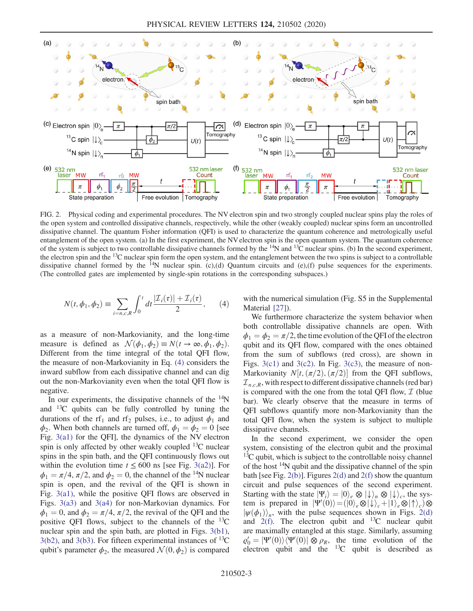<span id="page-2-0"></span>

FIG. 2. Physical coding and experimental procedures. The NV electron spin and two strongly coupled nuclear spins play the roles of the open system and controlled dissipative channels, respectively, while the other (weakly coupled) nuclear spins form an uncontrolled dissipative channel. The quantum Fisher information (QFI) is used to characterize the quantum coherence and metrologically useful entanglement of the open system. (a) In the first experiment, the NV electron spin is the open quantum system. The quantum coherence of the system is subject to two controllable dissipative channels formed by the  $^{14}N$  and  $^{13}C$  nuclear spins. (b) In the second experiment, the electron spin and the  $13C$  nuclear spin form the open system, and the entanglement between the two spins is subject to a controllable dissipative channel formed by the  $^{14}N$  nuclear spin. (c),(d) Quantum circuits and (e),(f) pulse sequences for the experiments. (The controlled gates are implemented by single-spin rotations in the corresponding subspaces.)

$$
N(t, \phi_1, \phi_2) \equiv \sum_{i=n, c, R} \int_0^t dt \frac{|\mathcal{I}_i(\tau)| + \mathcal{I}_i(\tau)}{2}, \qquad (4)
$$

as a measure of non-Markovianity, and the long-time measure is defined as  $\mathcal{N}(\phi_1, \phi_2) \equiv N(t \to \infty, \phi_1, \phi_2)$ . Different from the time integral of the total QFI flow, the measure of non-Markovianity in Eq. [\(4\)](#page-1-1) considers the inward subflow from each dissipative channel and can dig out the non-Markovianity even when the total QFI flow is negative.

In our experiments, the dissipative channels of the  $14N$ and  $^{13}C$  qubits can be fully controlled by tuning the durations of the rf<sub>1</sub> and rf<sub>2</sub> pulses, i.e., to adjust  $\phi_1$  and  $\phi_2$ . When both channels are turned off,  $\phi_1 = \phi_2 = 0$  [see Fig. [3\(a1\)](#page-3-0) for the QFI], the dynamics of the NV electron spin is only affected by other weakly coupled  $^{13}$ C nuclear spins in the spin bath, and the QFI continuously flows out within the evolution time  $t \leq 600$  ns [see Fig. [3\(a2\)](#page-3-0)]. For  $\phi_1 = \pi/4$ ,  $\pi/2$ , and  $\phi_2 = 0$ , the channel of the <sup>14</sup>N nuclear spin is open, and the revival of the QFI is shown in Fig. [3\(a1\),](#page-3-0) while the positive QFI flows are observed in Figs. [3\(a3\)](#page-3-0) and [3\(a4\)](#page-3-0) for non-Markovian dynamics. For  $\phi_1 = 0$ , and  $\phi_2 = \pi/4$ ,  $\pi/2$ , the revival of the QFI and the positive QFI flows, subject to the channels of the  $^{13}C$ nuclear spin and the spin bath, are plotted in Figs. [3\(b1\)](#page-3-0),  $3(b2)$ , and  $3(b3)$ . For fifteen experimental instances of  $^{13}C$ qubit's parameter  $\phi_2$ , the measured  $\mathcal{N}(0, \phi_2)$  is compared with the numerical simulation (Fig. S5 in the Supplemental Material [\[27\]\)](#page-5-10).

We furthermore characterize the system behavior when both controllable dissipative channels are open. With  $\phi_1 = \phi_2 = \pi/2$ , the time evolution of the QFI of the electron qubit and its QFI flow, compared with the ones obtained from the sum of subflows (red cross), are shown in Figs.  $3(c1)$  and  $3(c2)$ . In Fig.  $3(c3)$ , the measure of non-Markovianity  $N[t, (\pi/2), (\pi/2)]$  from the QFI subflows,  $\mathcal{I}_{n,c,R}$ , with respect to different dissipative channels (red bar) is compared with the one from the total QFI flow,  $I$  (blue bar). We clearly observe that the measure in terms of QFI subflows quantify more non-Markovianity than the total QFI flow, when the system is subject to multiple dissipative channels.

In the second experiment, we consider the open system, consisting of the electron qubit and the proximal  $13<sup>C</sup>$  qubit, which is subject to the controllable noisy channel of the host  $14N$  qubit and the dissipative channel of the spin bath [see Fig. [2\(b\)\]](#page-2-0). Figures [2\(d\)](#page-2-0) and [2\(f\)](#page-2-0) show the quantum circuit and pulse sequences of the second experiment. Starting with the state  $|\Psi_i\rangle = |0\rangle_e \otimes |\downarrow\rangle_n \otimes |\downarrow\rangle_c$ , the system is prepared in  $|\Psi'(0)\rangle = (|0\rangle_e \otimes |\downarrow\rangle_c + |1\rangle_e \otimes |\uparrow\rangle_c) \otimes$  $|\psi(\phi_1)\rangle_n$ , with the pulse sequences shown in Figs. [2\(d\)](#page-2-0) and  $2(f)$ . The electron qubit and <sup>13</sup>C nuclear qubit are maximally entangled at this stage. Similarly, assuming  $\varrho'_0 = |\Psi'(0)\rangle \langle \Psi'(0)| \otimes \rho_R$ , the time evolution of the electron qubit and the  $^{13}$ C qubit is described as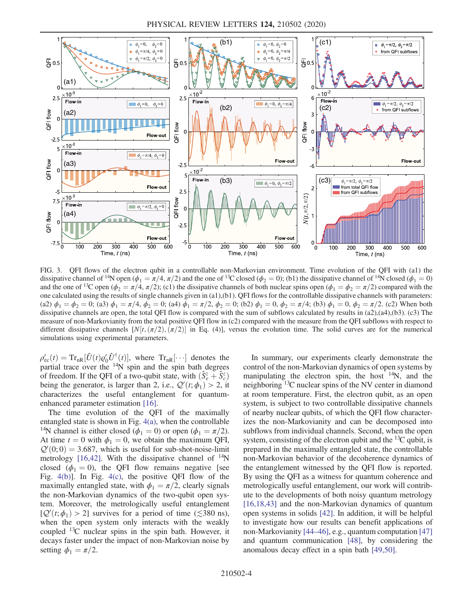<span id="page-3-0"></span>

FIG. 3. QFI flows of the electron qubit in a controllable non-Markovian environment. Time evolution of the QFI with (a1) the dissipative channel of <sup>14</sup>N open ( $\phi_1 = \pi/4$ ,  $\pi/2$ ) and the one of <sup>13</sup>C closed ( $\phi_2 = 0$ ); (b1) the dissipative channel of <sup>14</sup>N closed ( $\phi_1 = 0$ ) and the one of <sup>13</sup>C open ( $\phi_2 = \pi/4$ ,  $\pi/2$ ); (c1) the dissipative channels of both nuclear spins open ( $\phi_1 = \phi_2 = \pi/2$ ) compared with the one calculated using the results of single channels given in (a1),(b1). QFI flows for the controllable dissipative channels with parameters: (a2)  $\phi_1 = \phi_2 = 0$ ; (a3)  $\phi_1 = \pi/4$ ,  $\phi_2 = 0$ ; (a4)  $\phi_1 = \pi/2$ ,  $\phi_2 = 0$ ; (b2)  $\phi_1 = 0$ ,  $\phi_2 = \pi/4$ ; (b3)  $\phi_1 = 0$ ,  $\phi_2 = \pi/2$ . (c2) When both dissipative channels are open, the total QFI flow is compared with the sum of subflows calculated by results in (a2),(a4),(b3). (c3) The measure of non-Markovianity from the total positive QFI flow in (c2) compared with the measure from the QFI subflows with respect to different dissipative channels  $[N(t, (\pi/2), (\pi/2)]$  in Eq. (4)], versus the evolution time. The solid curves are for the numerical simulations using experimental parameters.

 $\rho'_{\rm ec}(t) = {\rm Tr}_{\rm nR}[\hat{U}(t)\rho'_0\hat{U}^\dagger(t)],$  where  ${\rm Tr}_{\rm nR}[\cdots]$  denotes the partial trace over the  $14N$  spin and the spin bath degrees of freedom. If the QFI of a two-qubit state, with  $(\hat{S}_{e}^{z} + \hat{S}_{c}^{z})$ being the generator, is larger than 2, i.e.,  $Q'(t; \phi_1) > 2$ , it characterizes the useful entanglement for quantumenhanced parameter estimation [\[16\]](#page-5-3).

The time evolution of the QFI of the maximally entangled state is shown in Fig. [4\(a\),](#page-4-9) when the controllable <sup>14</sup>N channel is either closed ( $\phi_1 = 0$ ) or open ( $\phi_1 = \pi/2$ ). At time  $t = 0$  with  $\phi_1 = 0$ , we obtain the maximum QFI,  $Q'(0, 0) = 3.687$ , which is useful for sub-shot-noise-limit metrology [\[16,42\]](#page-5-3). With the dissipative channel of  $14N$ closed ( $\phi_1 = 0$ ), the QFI flow remains negative [see Fig. [4\(b\)\]](#page-4-9). In Fig. [4\(c\)](#page-4-9), the positive QFI flow of the maximally entangled state, with  $\phi_1 = \pi/2$ , clearly signals the non-Markovian dynamics of the two-qubit open system. Moreover, the metrologically useful entanglement  $[Q'(t; \phi_1) > 2]$  survives for a period of time ( $\lesssim 380$  ns), when the open system only interacts with the weakly coupled  $^{13}$ C nuclear spins in the spin bath. However, it decays faster under the impact of non-Markovian noise by setting  $\phi_1 = \pi/2$ .

In summary, our experiments clearly demonstrate the control of the non-Markovian dynamics of open systems by manipulating the electron spin, the host  $14N$ , and the neighboring <sup>13</sup>C nuclear spins of the NV center in diamond at room temperature. First, the electron qubit, as an open system, is subject to two controllable dissipative channels of nearby nuclear qubits, of which the QFI flow characterizes the non-Markovianity and can be decomposed into subflows from individual channels. Second, when the open system, consisting of the electron qubit and the  ${}^{13}C$  qubit, is prepared in the maximally entangled state, the controllable non-Markovian behavior of the decoherence dynamics of the entanglement witnessed by the QFI flow is reported. By using the QFI as a witness for quantum coherence and metrologically useful entanglement, our work will contribute to the developments of both noisy quantum metrology [\[16,18,43\]](#page-5-3) and the non-Markovian dynamics of quantum open systems in solids [\[42\]](#page-5-16). In addition, it will be helpful to investigate how our results can benefit applications of non-Markovianity [44–[46\],](#page-5-17) e.g., quantum computation [\[47\]](#page-6-0) and quantum communication [\[48\]](#page-6-1), by considering the anomalous decay effect in a spin bath [\[49,50\]](#page-6-2).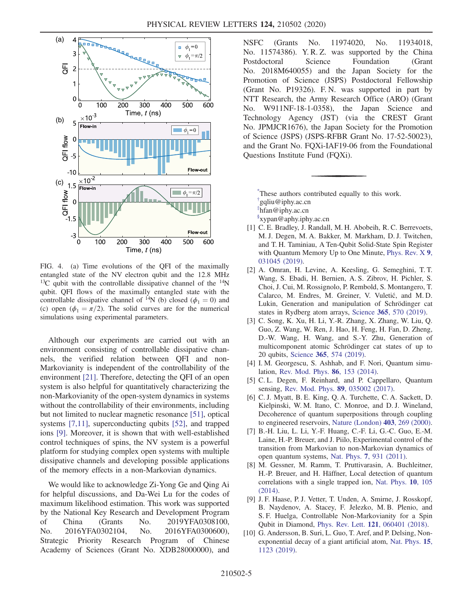<span id="page-4-9"></span>

FIG. 4. (a) Time evolutions of the QFI of the maximally entangled state of the NV electron qubit and the 12.8 MHz  $13C$  qubit with the controllable dissipative channel of the  $14N$ qubit. QFI flows of the maximally entangled state with the controllable dissipative channel of <sup>14</sup>N (b) closed ( $\phi_1 = 0$ ) and (c) open ( $\phi_1 = \pi/2$ ). The solid curves are for the numerical simulations using experimental parameters.

Although our experiments are carried out with an environment consisting of controllable dissipative channels, the verified relation between QFI and non-Markovianity is independent of the controllability of the environment [\[21\]](#page-5-6). Therefore, detecting the QFI of an open system is also helpful for quantitatively characterizing the non-Markovianity of the open-system dynamics in systems without the controllability of their environments, including but not limited to nuclear magnetic resonance [\[51\]](#page-6-3), optical systems [\[7,11\]](#page-4-10), superconducting qubits [\[52\]](#page-6-4), and trapped ions [\[9\]](#page-4-8). Moreover, it is shown that with well-established control techniques of spins, the NV system is a powerful platform for studying complex open systems with multiple dissipative channels and developing possible applications of the memory effects in a non-Markovian dynamics.

We would like to acknowledge Zi-Yong Ge and Qing Ai for helpful discussions, and Da-Wei Lu for the codes of maximum likelihood estimation. This work was supported by the National Key Research and Development Program of China (Grants No. 2019YFA0308100, No. 2016YFA0302104, No. 2016YFA0300600), Strategic Priority Research Program of Chinese Academy of Sciences (Grant No. XDB28000000), and NSFC (Grants No. 11974020, No. 11934018, No. 11574386). Y. R. Z. was supported by the China Postdoctoral Science Foundation (Grant No. 2018M640055) and the Japan Society for the Promotion of Science (JSPS) Postdoctoral Fellowship (Grant No. P19326). F. N. was supported in part by NTT Research, the Army Research Office (ARO) (Grant No. W911NF-18-1-0358), the Japan Science and Technology Agency (JST) (via the CREST Grant No. JPMJCR1676), the Japan Society for the Promotion of Science (JSPS) (JSPS-RFBR Grant No. 17-52-50023), and the Grant No. FQXi-IAF19-06 from the Foundational Questions Institute Fund (FQXi).

<span id="page-4-3"></span><span id="page-4-2"></span><span id="page-4-1"></span><span id="page-4-0"></span>[\\*](#page-0-0) These authors contributed equally to this work. [†](#page-0-0) gqliu@iphy.ac.cn [‡](#page-0-0) hfan@iphy.ac.cn [§](#page-0-0) xypan@aphy.iphy.ac.cn

- <span id="page-4-4"></span>[1] C. E. Bradley, J. Randall, M. H. Abobeih, R. C. Berrevoets, M. J. Degen, M. A. Bakker, M. Markham, D. J. Twitchen, and T. H. Taminiau, A Ten-Qubit Solid-State Spin Register with Quantum Memory Up to One Minute, [Phys. Rev. X](https://doi.org/10.1103/PhysRevX.9.031045) 9, [031045 \(2019\).](https://doi.org/10.1103/PhysRevX.9.031045)
- [2] A. Omran, H. Levine, A. Keesling, G. Semeghini, T. T. Wang, S. Ebadi, H. Bernien, A. S. Zibrov, H. Pichler, S. Choi, J. Cui, M. Rossignolo, P. Rembold, S. Montangero, T. Calarco, M. Endres, M. Greiner, V. Vuletić, and M. D. Lukin, Generation and manipulation of Schrödinger cat states in Rydberg atom arrays, Science 365[, 570 \(2019\)](https://doi.org/10.1126/science.aax9743).
- [3] C. Song, K. Xu, H. Li, Y.-R. Zhang, X. Zhang, W. Liu, Q. Guo, Z. Wang, W. Ren, J. Hao, H. Feng, H. Fan, D. Zheng, D.-W. Wang, H. Wang, and S.-Y. Zhu, Generation of multicomponent atomic Schrödinger cat states of up to 20 qubits, Science 365[, 574 \(2019\).](https://doi.org/10.1126/science.aay0600)
- <span id="page-4-6"></span><span id="page-4-5"></span>[4] I. M. Georgescu, S. Ashhab, and F. Nori, Quantum simulation, [Rev. Mod. Phys.](https://doi.org/10.1103/RevModPhys.86.153) 86, 153 (2014).
- <span id="page-4-7"></span>[5] C. L. Degen, F. Reinhard, and P. Cappellaro, Quantum sensing, [Rev. Mod. Phys.](https://doi.org/10.1103/RevModPhys.89.035002) 89, 035002 (2017).
- [6] C. J. Myatt, B. E. King, Q. A. Turchette, C. A. Sackett, D. Kielpinski, W. M. Itano, C. Monroe, and D. J. Wineland, Decoherence of quantum superpositions through coupling to engineered reservoirs, [Nature \(London\)](https://doi.org/10.1038/35002001) 403, 269 (2000).
- <span id="page-4-10"></span>[7] B.-H. Liu, L. Li, Y.-F. Huang, C.-F. Li, G.-C. Guo, E.-M. Laine, H.-P. Breuer, and J. Piilo, Experimental control of the transition from Markovian to non-Markovian dynamics of open quantum systems, Nat. Phys. 7[, 931 \(2011\)](https://doi.org/10.1038/nphys2085).
- [8] M. Gessner, M. Ramm, T. Pruttivarasin, A. Buchleitner, H.-P. Breuer, and H. Häffner, Local detection of quantum correlations with a single trapped ion, [Nat. Phys.](https://doi.org/10.1038/nphys2829) 10, 105 [\(2014\).](https://doi.org/10.1038/nphys2829)
- <span id="page-4-8"></span>[9] J. F. Haase, P. J. Vetter, T. Unden, A. Smirne, J. Rosskopf, B. Naydenov, A. Stacey, F. Jelezko, M. B. Plenio, and S. F. Huelga, Controllable Non-Markovianity for a Spin Qubit in Diamond, Phys. Rev. Lett. 121[, 060401 \(2018\)](https://doi.org/10.1103/PhysRevLett.121.060401).
- [10] G. Andersson, B. Suri, L. Guo, T. Aref, and P. Delsing, Nonexponential decay of a giant artificial atom, [Nat. Phys.](https://doi.org/10.1038/s41567-019-0605-6) 15, [1123 \(2019\)](https://doi.org/10.1038/s41567-019-0605-6).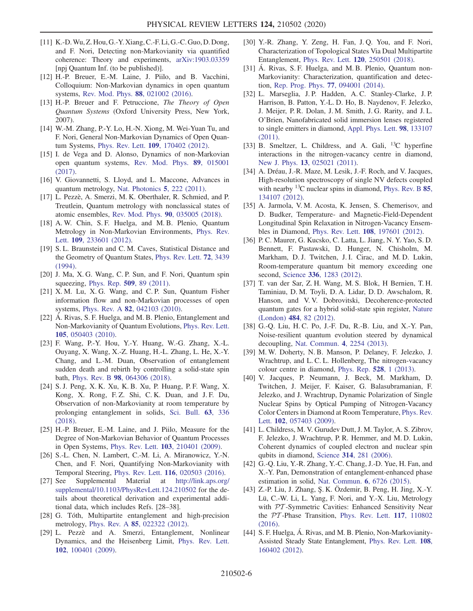- [11] K.-D.Wu, Z. Hou, G.-Y. Xiang, C.-F. Li, G.-C. Guo, D. Dong, and F. Nori, Detecting non-Markovianity via quantified coherence: Theory and experiments, [arXiv:1903.03359](https://arXiv.org/abs/1903.03359) [npj Quantum Inf. (to be published)].
- <span id="page-5-0"></span>[12] H.-P. Breuer, E.-M. Laine, J. Piilo, and B. Vacchini, Colloquium: Non-Markovian dynamics in open quantum systems, [Rev. Mod. Phys.](https://doi.org/10.1103/RevModPhys.88.021002) 88, 021002 (2016).
- <span id="page-5-1"></span>[13] H.-P. Breuer and F. Petruccione, The Theory of Open Quantum Systems (Oxford University Press, New York, 2007).
- <span id="page-5-2"></span>[14] W.-M. Zhang, P.-Y. Lo, H.-N. Xiong, M. Wei-Yuan Tu, and F. Nori, General Non-Markovian Dynamics of Open Quantum Systems, Phys. Rev. Lett. 109[, 170402 \(2012\).](https://doi.org/10.1103/PhysRevLett.109.170402)
- [15] I. de Vega and D. Alonso, Dynamics of non-Markovian open quantum systems, [Rev. Mod. Phys.](https://doi.org/10.1103/RevModPhys.89.015001) 89, 015001 [\(2017\).](https://doi.org/10.1103/RevModPhys.89.015001)
- <span id="page-5-3"></span>[16] V. Giovannetti, S. Lloyd, and L. Maccone, Advances in quantum metrology, [Nat. Photonics](https://doi.org/10.1038/nphoton.2011.35) 5, 222 (2011).
- [17] L. Pezzè, A. Smerzi, M. K. Oberthaler, R. Schmied, and P. Treutlein, Quantum metrology with nonclassical states of atomic ensembles, [Rev. Mod. Phys.](https://doi.org/10.1103/RevModPhys.90.035005) 90, 035005 (2018).
- <span id="page-5-4"></span>[18] A. W. Chin, S. F. Huelga, and M. B. Plenio, Quantum Metrology in Non-Markovian Environments, [Phys. Rev.](https://doi.org/10.1103/PhysRevLett.109.233601) Lett. 109[, 233601 \(2012\)](https://doi.org/10.1103/PhysRevLett.109.233601).
- <span id="page-5-5"></span>[19] S.L. Braunstein and C.M. Caves, Statistical Distance and the Geometry of Quantum States, [Phys. Rev. Lett.](https://doi.org/10.1103/PhysRevLett.72.3439) 72, 3439 [\(1994\).](https://doi.org/10.1103/PhysRevLett.72.3439)
- [20] J. Ma, X. G. Wang, C. P. Sun, and F. Nori, Quantum spin squeezing, Phys. Rep. 509[, 89 \(2011\)](https://doi.org/10.1016/j.physrep.2011.08.003).
- <span id="page-5-6"></span>[21] X. M. Lu, X. G. Wang, and C. P. Sun, Quantum Fisher information flow and non-Markovian processes of open systems, Phys. Rev. A 82[, 042103 \(2010\).](https://doi.org/10.1103/PhysRevA.82.042103)
- <span id="page-5-7"></span>[22] Á. Rivas, S. F. Huelga, and M. B. Plenio, Entanglement and Non-Markovianity of Quantum Evolutions, [Phys. Rev. Lett.](https://doi.org/10.1103/PhysRevLett.105.050403) 105[, 050403 \(2010\).](https://doi.org/10.1103/PhysRevLett.105.050403)
- [23] F. Wang, P.-Y. Hou, Y.-Y. Huang, W.-G. Zhang, X.-L. Ouyang, X. Wang, X.-Z. Huang, H.-L. Zhang, L. He, X.-Y. Chang, and L.-M. Duan, Observation of entanglement sudden death and rebirth by controlling a solid-state spin bath, Phys. Rev. B 98[, 064306 \(2018\).](https://doi.org/10.1103/PhysRevB.98.064306)
- [24] S. J. Peng, X. K. Xu, K. B. Xu, P. Huang, P. F. Wang, X. Kong, X. Rong, F.Z. Shi, C.K. Duan, and J.F. Du, Observation of non-Markovianity at room temperature by prolonging entanglement in solids, [Sci. Bull.](https://doi.org/10.1016/j.scib.2018.02.017) 63, 336 [\(2018\).](https://doi.org/10.1016/j.scib.2018.02.017)
- <span id="page-5-8"></span>[25] H.-P. Breuer, E.-M. Laine, and J. Piilo, Measure for the Degree of Non-Markovian Behavior of Quantum Processes in Open Systems, Phys. Rev. Lett. 103[, 210401 \(2009\)](https://doi.org/10.1103/PhysRevLett.103.210401).
- <span id="page-5-9"></span>[26] S.-L. Chen, N. Lambert, C.-M. Li, A. Miranowicz, Y.-N. Chen, and F. Nori, Quantifying Non-Markovianity with Temporal Steering, Phys. Rev. Lett. 116[, 020503 \(2016\)](https://doi.org/10.1103/PhysRevLett.116.020503).
- <span id="page-5-10"></span>[27] See Supplemental Material at [http://link.aps.org/](http://link.aps.org/supplemental/10.1103/PhysRevLett.124.210502) [supplemental/10.1103/PhysRevLett.124.210502](http://link.aps.org/supplemental/10.1103/PhysRevLett.124.210502) for the details about theoretical derivation and experimental additional data, which includes Refs. [28–38].
- <span id="page-5-11"></span>[28] G. Tóth, Multipartite entanglement and high-precision metrology, Phys. Rev. A 85[, 022322 \(2012\)](https://doi.org/10.1103/PhysRevA.85.022322).
- [29] L. Pezzè and A. Smerzi, Entanglement, Nonlinear Dynamics, and the Heisenberg Limit, [Phys. Rev. Lett.](https://doi.org/10.1103/PhysRevLett.102.100401) 102[, 100401 \(2009\).](https://doi.org/10.1103/PhysRevLett.102.100401)
- [30] Y.-R. Zhang, Y. Zeng, H. Fan, J. Q. You, and F. Nori, Characterization of Topological States Via Dual Multipartite Entanglement, Phys. Rev. Lett. 120[, 250501 \(2018\).](https://doi.org/10.1103/PhysRevLett.120.250501)
- <span id="page-5-15"></span>[31] Á. Rivas, S. F. Huelga, and M. B. Plenio, Quantum non-Markovianity: Characterization, quantification and detection, [Rep. Prog. Phys.](https://doi.org/10.1088/0034-4885/77/9/094001) 77, 094001 (2014).
- [32] L. Marseglia, J. P. Hadden, A. C. Stanley-Clarke, J. P. Harrison, B. Patton, Y.-L. D. Ho, B. Naydenov, F. Jelezko, J. Meijer, P. R. Dolan, J. M. Smith, J. G. Rarity, and J. L. O'Brien, Nanofabricated solid immersion lenses registered to single emitters in diamond, [Appl. Phys. Lett.](https://doi.org/10.1063/1.3573870) 98, 133107 [\(2011\).](https://doi.org/10.1063/1.3573870)
- [33] B. Smeltzer, L. Childress, and A. Gali, <sup>13</sup>C hyperfine interactions in the nitrogen-vacancy centre in diamond, New J. Phys. 13[, 025021 \(2011\)](https://doi.org/10.1088/1367-2630/13/2/025021).
- [34] A. Dréau, J.-R. Maze, M. Lesik, J.-F. Roch, and V. Jacques, High-resolution spectroscopy of single NV defects coupled with nearby  $^{13}$ C nuclear spins in diamond, [Phys. Rev. B](https://doi.org/10.1103/PhysRevB.85.134107) 85, [134107 \(2012\).](https://doi.org/10.1103/PhysRevB.85.134107)
- [35] A. Jarmola, V. M. Acosta, K. Jensen, S. Chemerisov, and D. Budker, Temperature- and Magnetic-Field-Dependent Longitudinal Spin Relaxation in Nitrogen-Vacancy Ensembles in Diamond, Phys. Rev. Lett. 108[, 197601 \(2012\).](https://doi.org/10.1103/PhysRevLett.108.197601)
- [36] P. C. Maurer, G. Kucsko, C. Latta, L. Jiang, N. Y. Yao, S. D. Bennett, F. Pastawski, D. Hunger, N. Chisholm, M. Markham, D. J. Twitchen, J. I. Cirac, and M. D. Lukin, Room-temperature quantum bit memory exceeding one second, Science 336[, 1283 \(2012\).](https://doi.org/10.1126/science.1220513)
- [37] T. van der Sar, Z. H. Wang, M. S. Blok, H Bernien, T. H. Taminiau, D. M. Toyli, D. A. Lidar, D. D. Awschalom, R. Hanson, and V. V. Dobrovitski, Decoherence-protected quantum gates for a hybrid solid-state spin register, [Nature](https://doi.org/10.1038/nature10900) (London) 484[, 82 \(2012\).](https://doi.org/10.1038/nature10900)
- [38] G.-Q. Liu, H. C. Po, J.-F. Du, R.-B. Liu, and X.-Y. Pan, Noise-resilient quantum evolution steered by dynamical decoupling, [Nat. Commun.](https://doi.org/10.1038/ncomms3254) 4, 2254 (2013).
- <span id="page-5-12"></span>[39] M. W. Doherty, N. B. Manson, P. Delaney, F. Jelezko, J. Wrachtrup, and L. C. L. Hollenberg, The nitrogen-vacancy colour centre in diamond, [Phys. Rep.](https://doi.org/10.1016/j.physrep.2013.02.001) 528, 1 (2013).
- <span id="page-5-13"></span>[40] V. Jacques, P. Neumann, J. Beck, M. Markham, D. Twitchen, J. Meijer, F. Kaiser, G. Balasubramanian, F. Jelezko, and J. Wrachtrup, Dynamic Polarization of Single Nuclear Spins by Optical Pumping of Nitrogen-Vacancy Color Centers in Diamond at Room Temperature, [Phys. Rev.](https://doi.org/10.1103/PhysRevLett.102.057403) Lett. **102**[, 057403 \(2009\)](https://doi.org/10.1103/PhysRevLett.102.057403).
- <span id="page-5-14"></span>[41] L. Childress, M. V. Gurudev Dutt, J. M. Taylor, A. S. Zibrov, F. Jelezko, J. Wrachtrup, P. R. Hemmer, and M. D. Lukin, Coherent dynamics of coupled electron and nuclear spin qubits in diamond, Science 314[, 281 \(2006\).](https://doi.org/10.1126/science.1131871)
- <span id="page-5-16"></span>[42] G.-Q. Liu, Y.-R. Zhang, Y.-C. Chang, J.-D. Yue, H. Fan, and X.-Y. Pan, Demonstration of entanglement-enhanced phase estimation in solid, [Nat. Commun.](https://doi.org/10.1038/ncomms7726) 6, 6726 (2015).
- [43] Z.-P. Liu, J. Zhang, Ş. K. Özdemir, B. Peng, H. Jing, X.-Y. Lü, C.-W. Li, L. Yang, F. Nori, and Y.-X. Liu, Metrology with PT-Symmetric Cavities: Enhanced Sensitivity Near the PT -Phase Transition, [Phys. Rev. Lett.](https://doi.org/10.1103/PhysRevLett.117.110802) 117, 110802 [\(2016\).](https://doi.org/10.1103/PhysRevLett.117.110802)
- <span id="page-5-17"></span>[44] S. F. Huelga, Á. Rivas, and M. B. Plenio, Non-Markovianity-Assisted Steady State Entanglement, [Phys. Rev. Lett.](https://doi.org/10.1103/PhysRevLett.108.160402) 108, [160402 \(2012\).](https://doi.org/10.1103/PhysRevLett.108.160402)